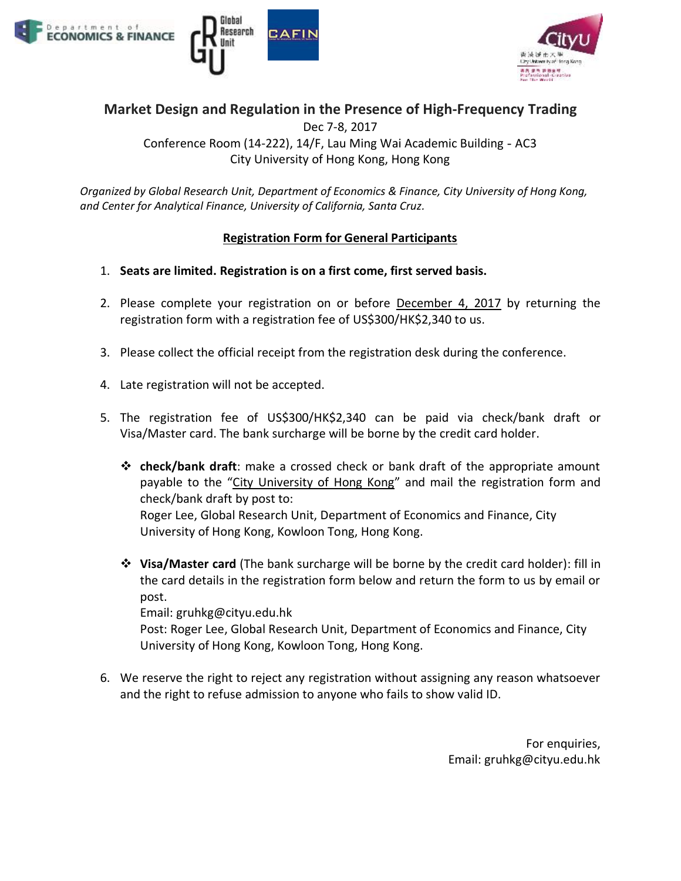





## **Market Design and Regulation in the Presence of High-Frequency Trading**

Dec 7-8, 2017 Conference Room (14-222), 14/F, Lau Ming Wai Academic Building - AC3 City University of Hong Kong, Hong Kong

*Organized by Global Research Unit, Department of Economics & Finance, City University of Hong Kong, and Center for Analytical Finance, University of California, Santa Cruz.*

#### **Registration Form for General Participants**

- 1. **Seats are limited. Registration is on a first come, first served basis.**
- 2. Please complete your registration on or before **December 4, 2017** by returning the registration form with a registration fee of US\$300/HK\$2,340 to us.
- 3. Please collect the official receipt from the registration desk during the conference.
- 4. Late registration will not be accepted.
- 5. The registration fee of US\$300/HK\$2,340 can be paid via check/bank draft or Visa/Master card. The bank surcharge will be borne by the credit card holder.
	- ❖ **check/bank draft**: make a crossed check or bank draft of the appropriate amount payable to the "City University of Hong Kong" and mail the registration form and check/bank draft by post to:

Roger Lee, Global Research Unit, Department of Economics and Finance, City University of Hong Kong, Kowloon Tong, Hong Kong.

❖ **Visa/Master card** (The bank surcharge will be borne by the credit card holder): fill in the card details in the registration form below and return the form to us by email or post.

Email: gruhkg@cityu.edu.hk

Post: Roger Lee, Global Research Unit, Department of Economics and Finance, City University of Hong Kong, Kowloon Tong, Hong Kong.

6. We reserve the right to reject any registration without assigning any reason whatsoever and the right to refuse admission to anyone who fails to show valid ID.

> For enquiries, Email: gruhkg@cityu.edu.hk